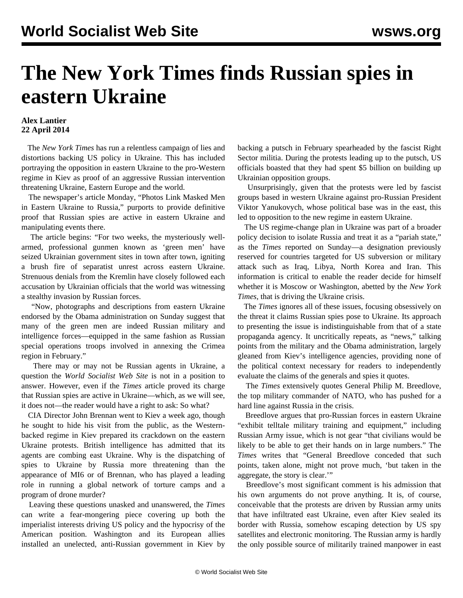## **The New York Times finds Russian spies in eastern Ukraine**

## **Alex Lantier 22 April 2014**

 The *New York Times* has run a relentless campaign of lies and distortions backing US policy in Ukraine. This has included portraying the opposition in eastern Ukraine to the pro-Western regime in Kiev as proof of an aggressive Russian intervention threatening Ukraine, Eastern Europe and the world.

 The newspaper's article Monday, "Photos Link Masked Men in Eastern Ukraine to Russia," purports to provide definitive proof that Russian spies are active in eastern Ukraine and manipulating events there.

 The article begins: "For two weeks, the mysteriously wellarmed, professional gunmen known as 'green men' have seized Ukrainian government sites in town after town, igniting a brush fire of separatist unrest across eastern Ukraine. Strenuous denials from the Kremlin have closely followed each accusation by Ukrainian officials that the world was witnessing a stealthy invasion by Russian forces.

 "Now, photographs and descriptions from eastern Ukraine endorsed by the Obama administration on Sunday suggest that many of the green men are indeed Russian military and intelligence forces—equipped in the same fashion as Russian special operations troops involved in annexing the Crimea region in February."

 There may or may not be Russian agents in Ukraine, a question the *World Socialist Web Site* is not in a position to answer. However, even if the *Times* article proved its charge that Russian spies are active in Ukraine—which, as we will see, it does not—the reader would have a right to ask: So what?

 CIA Director John Brennan went to Kiev a week ago, though he sought to hide his visit from the public, as the Westernbacked regime in Kiev prepared its crackdown on the eastern Ukraine protests. British intelligence has admitted that its agents are combing east Ukraine. Why is the dispatching of spies to Ukraine by Russia more threatening than the appearance of MI6 or of Brennan, who has played a leading role in running a global network of torture camps and a program of drone murder?

 Leaving these questions unasked and unanswered, the *Times* can write a fear-mongering piece covering up both the imperialist interests driving US policy and the hypocrisy of the American position. Washington and its European allies installed an unelected, anti-Russian government in Kiev by backing a putsch in February spearheaded by the fascist Right Sector militia. During the protests leading up to the putsch, US officials boasted that they had spent \$5 billion on building up Ukrainian opposition groups.

 Unsurprisingly, given that the protests were led by fascist groups based in western Ukraine against pro-Russian President Viktor Yanukovych, whose political base was in the east, this led to opposition to the new regime in eastern Ukraine.

 The US regime-change plan in Ukraine was part of a broader policy decision to isolate Russia and treat it as a "pariah state," as the *Times* reported on Sunday—a designation previously reserved for countries targeted for US subversion or military attack such as Iraq, Libya, North Korea and Iran. This information is critical to enable the reader decide for himself whether it is Moscow or Washington, abetted by the *New York Times,* that is driving the Ukraine crisis.

 The *Times* ignores all of these issues, focusing obsessively on the threat it claims Russian spies pose to Ukraine. Its approach to presenting the issue is indistinguishable from that of a state propaganda agency. It uncritically repeats, as "news," talking points from the military and the Obama administration, largely gleaned from Kiev's intelligence agencies, providing none of the political context necessary for readers to independently evaluate the claims of the generals and spies it quotes.

 The *Times* extensively quotes General Philip M. Breedlove, the top military commander of NATO, who has pushed for a hard line against Russia in the crisis.

 Breedlove argues that pro-Russian forces in eastern Ukraine "exhibit telltale military training and equipment," including Russian Army issue, which is not gear "that civilians would be likely to be able to get their hands on in large numbers." The *Times* writes that "General Breedlove conceded that such points, taken alone, might not prove much, 'but taken in the aggregate, the story is clear.'"

 Breedlove's most significant comment is his admission that his own arguments do not prove anything. It is, of course, conceivable that the protests are driven by Russian army units that have infiltrated east Ukraine, even after Kiev sealed its border with Russia, somehow escaping detection by US spy satellites and electronic monitoring. The Russian army is hardly the only possible source of militarily trained manpower in east